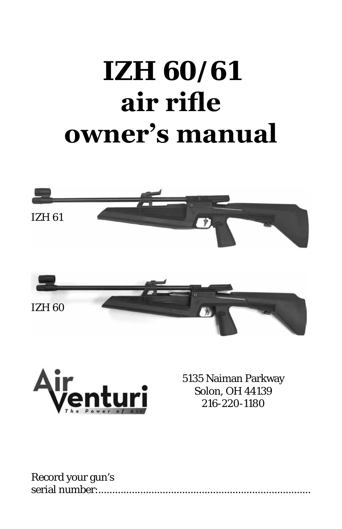# **IZH 60/61 air rifle owner's manual**





5135 Naiman Parkway Solon, OH 44139 216-220-1180

| Record your gun's |  |
|-------------------|--|
|                   |  |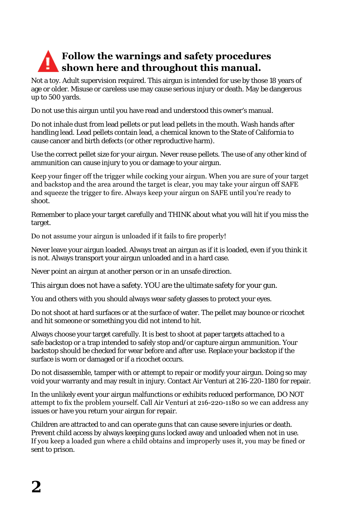# **Follow the warnings and safety procedures shown here and throughout this manual.**

Not a toy. Adult supervision required. This airgun is intended for use by those 18 years of age or older. Misuse or careless use may cause serious injury or death. May be dangerous up to 500 yards.

Do not use this airgun until you have read and understood this owner's manual.

Do not inhale dust from lead pellets or put lead pellets in the mouth. Wash hands after handling lead. Lead pellets contain lead, a chemical known to the State of California to cause cancer and birth defects (or other reproductive harm).

Use the correct pellet size for your airgun. Never reuse pellets. The use of any other kind of ammunition can cause injury to you or damage to your airgun.

Keep your finger off the trigger while cocking your airgun. When you are sure of your target and backstop and the area around the target is clear, you may take your airgun off SAFE and squeeze the trigger to fire. Always keep your airgun on SAFE until you're ready to shoot.

Remember to place your target carefully and THINK about what you will hit if you miss the target.

Do not assume your airgun is unloaded if it fails to fire properly!

Never leave your airgun loaded. Always treat an airgun as if it is loaded, even if you think it is not. Always transport your airgun unloaded and in a hard case.

Never point an airgun at another person or in an unsafe direction.

This airgun does not have a safety. YOU are the ultimate safety for your gun.

You and others with you should always wear safety glasses to protect your eyes.

Do not shoot at hard surfaces or at the surface of water. The pellet may bounce or ricochet and hit someone or something you did not intend to hit.

Always choose your target carefully. It is best to shoot at paper targets attached to a safe backstop or a trap intended to safely stop and/or capture airgun ammunition. Your backstop should be checked for wear before and after use. Replace your backstop if the surface is worn or damaged or if a ricochet occurs.

Do not disassemble, tamper with or attempt to repair or modify your airgun. Doing so may void your warranty and may result in injury. Contact Air Venturi at 216-220-1180 for repair.

In the unlikely event your airgun malfunctions or exhibits reduced performance, DO NOT attempt to fix the problem yourself. Call Air Venturi at 216-220-1180 so we can address any issues or have you return your airgun for repair.

Children are attracted to and can operate guns that can cause severe injuries or death. Prevent child access by always keeping guns locked away and unloaded when not in use. If you keep a loaded gun where a child obtains and improperly uses it, you may be fined or sent to prison.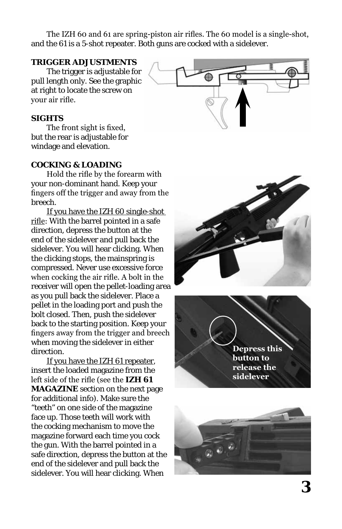The IZH 60 and 61 are spring-piston air rifles. The 60 model is a single-shot, and the 61 is a 5-shot repeater. Both guns are cocked with a sidelever.

### **TRIGGER ADJUSTMENTS**

The trigger is adjustable for pull length only. See the graphic at right to locate the screw on your air rifle.

#### **SIGHTS**

The front sight is fixed, but the rear is adjustable for windage and elevation.

### **COCKING & LOADING**

Hold the rifle by the forearm with your non-dominant hand. Keep your fingers off the trigger and away from the breech.

If you have the IZH 60 single-shot rifle: With the barrel pointed in a safe direction, depress the button at the end of the sidelever and pull back the sidelever. You will hear clicking. When the clicking stops, the mainspring is compressed. Never use excessive force when cocking the air rifle. A bolt in the receiver will open the pellet-loading area as you pull back the sidelever. Place a pellet in the loading port and push the bolt closed. Then, push the sidelever back to the starting position. Keep your fingers away from the trigger and breech when moving the sidelever in either direction.

If you have the IZH 61 repeater, insert the loaded magazine from the left side of the rifle (see the **IZH 61 MAGAZINE** section on the next page for additional info). Make sure the "teeth" on one side of the magazine face up. Those teeth will work with the cocking mechanism to move the magazine forward each time you cock the gun. With the barrel pointed in a safe direction, depress the button at the end of the sidelever and pull back the sidelever. You will hear clicking. When





**Depress this button to release the sidelever**

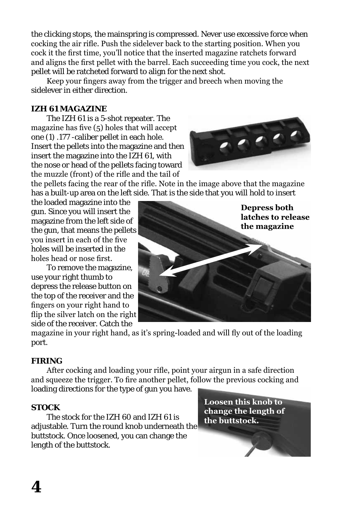the clicking stops, the mainspring is compressed. Never use excessive force when cocking the air rifle. Push the sidelever back to the starting position. When you cock it the first time, you'll notice that the inserted magazine ratchets forward and aligns the first pellet with the barrel. Each succeeding time you cock, the next pellet will be ratcheted forward to align for the next shot.

Keep your fingers away from the trigger and breech when moving the sidelever in either direction.

## **IZH 61 MAGAZINE**

The IZH 61 is a 5-shot repeater. The magazine has five (5) holes that will accept one (1) .177 -caliber pellet in each hole. Insert the pellets into the magazine and then insert the magazine into the IZH 61, with the nose or head of the pellets facing toward the muzzle (front) of the rifle and the tail of

the pellets facing the rear of the rifle. Note in the image above that the magazine has a built-up area on the left side. That is the side that you will hold to insert

the loaded magazine into the gun. Since you will insert the magazine from the left side of the gun, that means the pellets you insert in each of the five holes will be inserted in the holes head or nose first.

To remove the magazine, use your right thumb to depress the release button on the top of the receiver and the fingers on your right hand to flip the silver latch on the right side of the receiver. Catch the

magazine in your right hand, as it's spring-loaded and will fly out of the loading port.

## **FIRING**

After cocking and loading your rifle, point your airgun in a safe direction and squeeze the trigger. To fire another pellet, follow the previous cocking and loading directions for the type of gun you have.

## **STOCK**

The stock for the IZH 60 and IZH 61 is adjustable. Turn the round knob underneath the buttstock. Once loosened, you can change the length of the buttstock.

**Loosen this knob to change the length of the buttstock.**



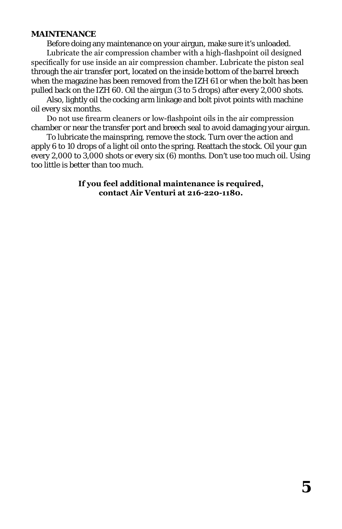### **MAINTENANCE**

Before doing any maintenance on your airgun, make sure it's unloaded.

Lubricate the air compression chamber with a high-flashpoint oil designed specifically for use inside an air compression chamber. Lubricate the piston seal through the air transfer port, located on the inside bottom of the barrel breech when the magazine has been removed from the IZH 61 or when the bolt has been pulled back on the IZH 60. Oil the airgun (3 to 5 drops) after every 2,000 shots.

Also, lightly oil the cocking arm linkage and bolt pivot points with machine oil every six months.

Do not use firearm cleaners or low-flashpoint oils in the air compression chamber or near the transfer port and breech seal to avoid damaging your airgun.

To lubricate the mainspring, remove the stock. Turn over the action and apply 6 to 10 drops of a light oil onto the spring. Reattach the stock. Oil your gun every 2,000 to 3,000 shots or every six (6) months. Don't use too much oil. Using too little is better than too much.

> **If you feel additional maintenance is required, contact Air Venturi at 216-220-1180.**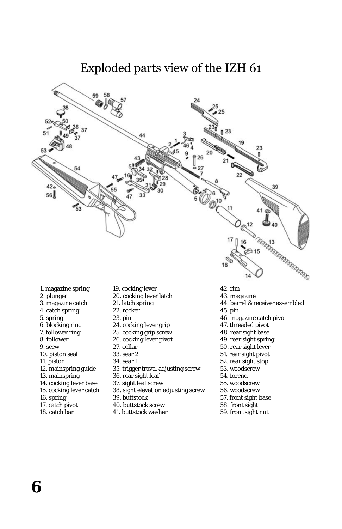

- 1. magazine spring
- 2. plunger
- 3. magazine catch
- 4. catch spring
- 5. spring
- 6. blocking ring
- 7. follower ring
- 8. follower
- 9. scew
- 10. piston seal
- 11. piston
- 12. mainspring guide
- 13. mainspring
- 14. cocking lever base
- 15. cocking lever catch
- 16. spring
- 17. catch pivot
- 18. catch bar
- 19. cocking lever
- 20. cocking lever latch
- 21. latch spring
- 22. rocker
- 23. pin
- 24. cocking lever grip
- 25. cocking grip screw
- 26. cocking lever pivot
- 27. collar
- 33. sear 2
- 34. sear 1
- 35. trigger travel adjusting screw
- 36. rear sight leaf
- 37. sight leaf screw
- 38. sight elevation adjusting screw
- 39. buttstock
- 40. buttstock screw
- 41. buttstock washer
- 42. rim
- 43. magazine
- 44. barrel & receiver assembled
- 45. pin
- 46. magazine catch pivot
- 47. threaded pivot
- 48. rear sight base
- 49. rear sight spring
- 50. rear sight lever
- 51. rear sight pivot
- 52. rear sight stop
- 53. woodscrew
- 54. forend
- 55. woodscrew
- 56. woodscrew
- 57. front sight base
- 58. front sight
- 59. front sight nut

**6**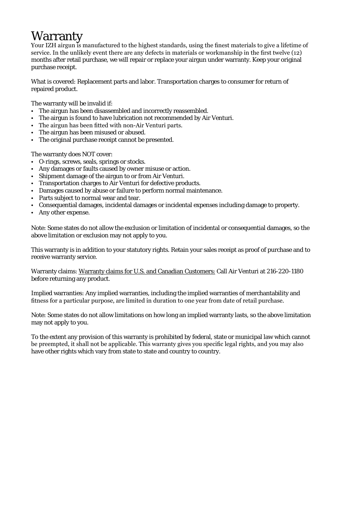# **Warranty**

Your IZH airgun is manufactured to the highest standards, using the finest materials to give a lifetime of service. In the unlikely event there are any defects in materials or workmanship in the first twelve (12) months after retail purchase, we will repair or replace your airgun under warranty. Keep your original purchase receipt.

What is covered: Replacement parts and labor. Transportation charges to consumer for return of repaired product.

The warranty will be invalid if:

- The airgun has been disassembled and incorrectly reassembled.
- The airgun is found to have lubrication not recommended by Air Venturi.
- The airgun has been fitted with non-Air Venturi parts.
- The airgun has been misused or abused.
- The original purchase receipt cannot be presented.

The warranty does NOT cover:

- O-rings, screws, seals, springs or stocks.
- Any damages or faults caused by owner misuse or action.
- Shipment damage of the airgun to or from Air Venturi.
- Transportation charges to Air Venturi for defective products.
- Damages caused by abuse or failure to perform normal maintenance.
- Parts subject to normal wear and tear.
- Consequential damages, incidental damages or incidental expenses including damage to property.
- Any other expense.

Note: Some states do not allow the exclusion or limitation of incidental or consequential damages, so the above limitation or exclusion may not apply to you.

This warranty is in addition to your statutory rights. Retain your sales receipt as proof of purchase and to receive warranty service.

Warranty claims: Warranty claims for U.S. and Canadian Customers: Call Air Venturi at 216-220-1180 before returning any product.

Implied warranties: Any implied warranties, including the implied warranties of merchantability and fitness for a particular purpose, are limited in duration to one year from date of retail purchase.

Note: Some states do not allow limitations on how long an implied warranty lasts, so the above limitation may not apply to you.

To the extent any provision of this warranty is prohibited by federal, state or municipal law which cannot be preempted, it shall not be applicable. This warranty gives you specific legal rights, and you may also have other rights which vary from state to state and country to country.